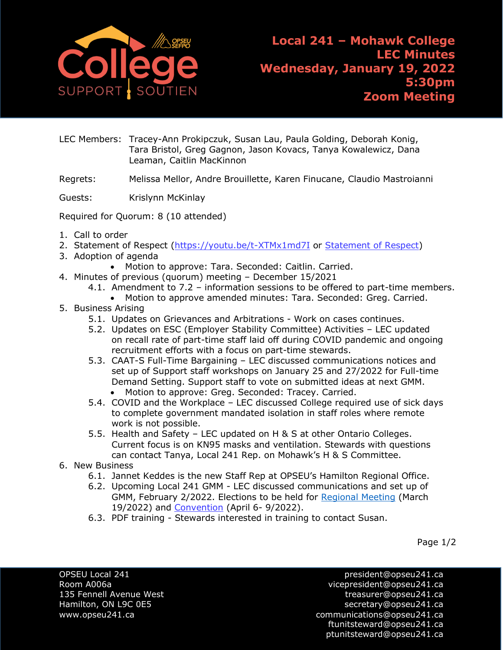

LEC Members: Tracey-Ann Prokipczuk, Susan Lau, Paula Golding, Deborah Konig, Tara Bristol, Greg Gagnon, Jason Kovacs, Tanya Kowalewicz, Dana Leaman, Caitlin MacKinnon

Regrets: Melissa Mellor, Andre Brouillette, Karen Finucane, Claudio Mastroianni

Guests: Krislynn McKinlay

Required for Quorum: 8 (10 attended)

- 1. Call to order
- 2. [Statement of Respect](https://opseu.org/wp-content/uploads/2014/04/Statement-of-Respect-2019.pdf) [\(https://youtu.be/t-XTMx1md7I](https://youtu.be/t-XTMx1md7I) or [Statement of Respect\)](https://www.opseu.org/information/tools-and-resources/statement-of-respect/9709/)
- 3. Adoption of agenda
	- Motion to approve: Tara. Seconded: Caitlin. Carried.
- 4. Minutes of previous (quorum) meeting December 15/2021
	- 4.1. Amendment to 7.2 information sessions to be offered to part-time members. • Motion to approve amended minutes: Tara. Seconded: Greg. Carried.
	-
- 5. Business Arising
	- 5.1. Updates on Grievances and Arbitrations Work on cases continues.
	- 5.2. Updates on ESC (Employer Stability Committee) Activities LEC updated on recall rate of part-time staff laid off during COVID pandemic and ongoing recruitment efforts with a focus on part-time stewards.
	- 5.3. CAAT-S Full-Time Bargaining LEC discussed communications notices and set up of Support staff workshops on January 25 and 27/2022 for Full-time Demand Setting. Support staff to vote on submitted ideas at next GMM. • Motion to approve: Greg. Seconded: Tracey. Carried.
	- 5.4. COVID and the Workplace LEC discussed College required use of sick days to complete government mandated isolation in staff roles where remote work is not possible.
	- 5.5. Health and Safety LEC updated on H & S at other Ontario Colleges. Current focus is on KN95 masks and ventilation. Stewards with questions can contact Tanya, Local 241 Rep. on Mohawk's H & S Committee.
- 6. New Business
	- 6.1. Jannet Keddes is the new Staff Rep at OPSEU's Hamilton Regional Office.
	- 6.2. Upcoming Local 241 GMM LEC discussed communications and set up of GMM, February 2/2022. Elections to be held for [Regional Meeting](https://opseu.org/event/regional-meetings/) (March 19/2022) and [Convention](https://opseu.org/convention) (April 6- 9/2022).
	- 6.3. PDF training Stewards interested in training to contact Susan.

Page 1/2

OPSEU Local 241 president@opseu241.ca Room A006a vicepresident@opseu241.ca 135 Fennell Avenue West [treasurer@opseu241.ca](mailto:treasurer@opseu241.ca) Hamilton, ON L9C 0E5 [secretary@opseu241.ca](mailto:secretary@opseu241.ca) www.opseu241.ca example and the communications@opseu241.ca [ftunitsteward@opseu241.ca](mailto:ftunitsteward@opseu241.ca) ptunitsteward@opseu241.ca